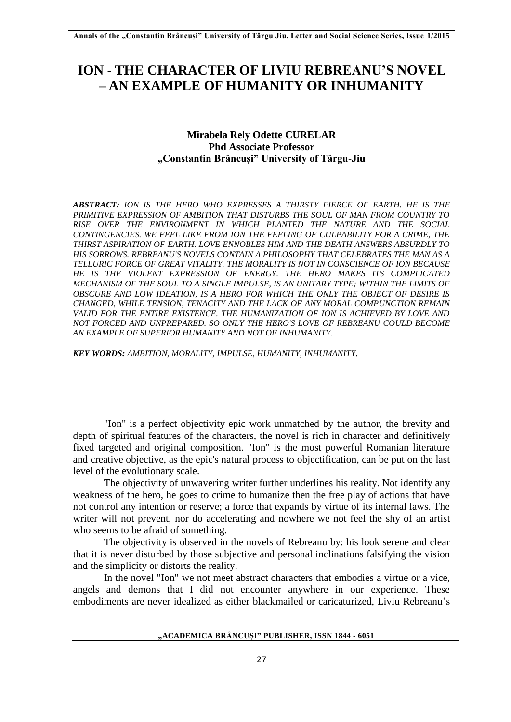## **ION - THE CHARACTER OF LIVIU REBREANU'S NOVEL – AN EXAMPLE OF HUMANITY OR INHUMANITY**

## **Mirabela Rely Odette CURELAR Phd Associate Professor "Constantin Brâncuşi" University of Târgu-Jiu**

*ABSTRACT: ION IS THE HERO WHO EXPRESSES A THIRSTY FIERCE OF EARTH. HE IS THE PRIMITIVE EXPRESSION OF AMBITION THAT DISTURBS THE SOUL OF MAN FROM COUNTRY TO RISE OVER THE ENVIRONMENT IN WHICH PLANTED THE NATURE AND THE SOCIAL CONTINGENCIES. WE FEEL LIKE FROM ION THE FEELING OF CULPABILITY FOR A CRIME, THE THIRST ASPIRATION OF EARTH. LOVE ENNOBLES HIM AND THE DEATH ANSWERS ABSURDLY TO HIS SORROWS. REBREANU'S NOVELS CONTAIN A PHILOSOPHY THAT CELEBRATES THE MAN AS A TELLURIC FORCE OF GREAT VITALITY. THE MORALITY IS NOT IN CONSCIENCE OF ION BECAUSE HE IS THE VIOLENT EXPRESSION OF ENERGY. THE HERO MAKES ITS COMPLICATED MECHANISM OF THE SOUL TO A SINGLE IMPULSE, IS AN UNITARY TYPE; WITHIN THE LIMITS OF OBSCURE AND LOW IDEATION, IS A HERO FOR WHICH THE ONLY THE OBJECT OF DESIRE IS CHANGED, WHILE TENSION, TENACITY AND THE LACK OF ANY MORAL COMPUNCTION REMAIN*  VALID FOR THE ENTIRE EXISTENCE. THE HUMANIZATION OF ION IS ACHIEVED BY LOVE AND *NOT FORCED AND UNPREPARED. SO ONLY THE HERO'S LOVE OF REBREANU COULD BECOME AN EXAMPLE OF SUPERIOR HUMANITY AND NOT OF INHUMANITY.*

*KEY WORDS: AMBITION, MORALITY, IMPULSE, HUMANITY, INHUMANITY.*

"Ion" is a perfect objectivity epic work unmatched by the author, the brevity and depth of spiritual features of the characters, the novel is rich in character and definitively fixed targeted and original composition. "Ion" is the most powerful Romanian literature and creative objective, as the epic's natural process to objectification, can be put on the last level of the evolutionary scale.

The objectivity of unwavering writer further underlines his reality. Not identify any weakness of the hero, he goes to crime to humanize then the free play of actions that have not control any intention or reserve; a force that expands by virtue of its internal laws. The writer will not prevent, nor do accelerating and nowhere we not feel the shy of an artist who seems to be afraid of something.

The objectivity is observed in the novels of Rebreanu by: his look serene and clear that it is never disturbed by those subjective and personal inclinations falsifying the vision and the simplicity or distorts the reality.

In the novel "Ion" we not meet abstract characters that embodies a virtue or a vice, angels and demons that I did not encounter anywhere in our experience. These embodiments are never idealized as either blackmailed or caricaturized, Liviu Rebreanu's

**"ACADEMICA BRÂNCUȘI" PUBLISHER, ISSN 1844 - 6051**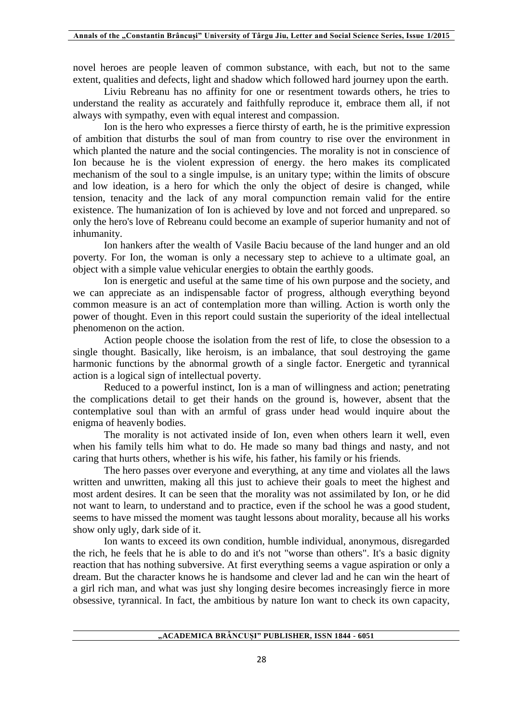novel heroes are people leaven of common substance, with each, but not to the same extent, qualities and defects, light and shadow which followed hard journey upon the earth.

Liviu Rebreanu has no affinity for one or resentment towards others, he tries to understand the reality as accurately and faithfully reproduce it, embrace them all, if not always with sympathy, even with equal interest and compassion.

Ion is the hero who expresses a fierce thirsty of earth, he is the primitive expression of ambition that disturbs the soul of man from country to rise over the environment in which planted the nature and the social contingencies. The morality is not in conscience of Ion because he is the violent expression of energy. the hero makes its complicated mechanism of the soul to a single impulse, is an unitary type; within the limits of obscure and low ideation, is a hero for which the only the object of desire is changed, while tension, tenacity and the lack of any moral compunction remain valid for the entire existence. The humanization of Ion is achieved by love and not forced and unprepared. so only the hero's love of Rebreanu could become an example of superior humanity and not of inhumanity.

Ion hankers after the wealth of Vasile Baciu because of the land hunger and an old poverty. For Ion, the woman is only a necessary step to achieve to a ultimate goal, an object with a simple value vehicular energies to obtain the earthly goods.

Ion is energetic and useful at the same time of his own purpose and the society, and we can appreciate as an indispensable factor of progress, although everything beyond common measure is an act of contemplation more than willing. Action is worth only the power of thought. Even in this report could sustain the superiority of the ideal intellectual phenomenon on the action.

Action people choose the isolation from the rest of life, to close the obsession to a single thought. Basically, like heroism, is an imbalance, that soul destroying the game harmonic functions by the abnormal growth of a single factor. Energetic and tyrannical action is a logical sign of intellectual poverty.

Reduced to a powerful instinct, Ion is a man of willingness and action; penetrating the complications detail to get their hands on the ground is, however, absent that the contemplative soul than with an armful of grass under head would inquire about the enigma of heavenly bodies.

The morality is not activated inside of Ion, even when others learn it well, even when his family tells him what to do. He made so many bad things and nasty, and not caring that hurts others, whether is his wife, his father, his family or his friends.

The hero passes over everyone and everything, at any time and violates all the laws written and unwritten, making all this just to achieve their goals to meet the highest and most ardent desires. It can be seen that the morality was not assimilated by Ion, or he did not want to learn, to understand and to practice, even if the school he was a good student, seems to have missed the moment was taught lessons about morality, because all his works show only ugly, dark side of it.

Ion wants to exceed its own condition, humble individual, anonymous, disregarded the rich, he feels that he is able to do and it's not "worse than others". It's a basic dignity reaction that has nothing subversive. At first everything seems a vague aspiration or only a dream. But the character knows he is handsome and clever lad and he can win the heart of a girl rich man, and what was just shy longing desire becomes increasingly fierce in more obsessive, tyrannical. In fact, the ambitious by nature Ion want to check its own capacity,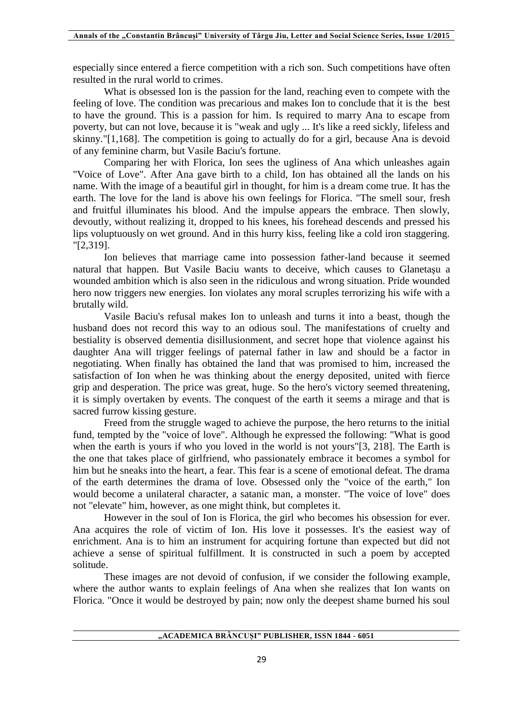especially since entered a fierce competition with a rich son. Such competitions have often resulted in the rural world to crimes.

What is obsessed Ion is the passion for the land, reaching even to compete with the feeling of love. The condition was precarious and makes Ion to conclude that it is the best to have the ground. This is a passion for him. Is required to marry Ana to escape from poverty, but can not love, because it is "weak and ugly ... It's like a reed sickly, lifeless and skinny."[1,168]. The competition is going to actually do for a girl, because Ana is devoid of any feminine charm, but Vasile Baciu's fortune.

Comparing her with Florica, Ion sees the ugliness of Ana which unleashes again "Voice of Love". After Ana gave birth to a child, Ion has obtained all the lands on his name. With the image of a beautiful girl in thought, for him is a dream come true. It has the earth. The love for the land is above his own feelings for Florica. "The smell sour, fresh and fruitful illuminates his blood. And the impulse appears the embrace. Then slowly, devoutly, without realizing it, dropped to his knees, his forehead descends and pressed his lips voluptuously on wet ground. And in this hurry kiss, feeling like a cold iron staggering. "[2,319].

Ion believes that marriage came into possession father-land because it seemed natural that happen. But Vasile Baciu wants to deceive, which causes to Glanetaşu a wounded ambition which is also seen in the ridiculous and wrong situation. Pride wounded hero now triggers new energies. Ion violates any moral scruples terrorizing his wife with a brutally wild.

Vasile Baciu's refusal makes Ion to unleash and turns it into a beast, though the husband does not record this way to an odious soul. The manifestations of cruelty and bestiality is observed dementia disillusionment, and secret hope that violence against his daughter Ana will trigger feelings of paternal father in law and should be a factor in negotiating. When finally has obtained the land that was promised to him, increased the satisfaction of Ion when he was thinking about the energy deposited, united with fierce grip and desperation. The price was great, huge. So the hero's victory seemed threatening, it is simply overtaken by events. The conquest of the earth it seems a mirage and that is sacred furrow kissing gesture.

Freed from the struggle waged to achieve the purpose, the hero returns to the initial fund, tempted by the "voice of love". Although he expressed the following: "What is good when the earth is yours if who you loved in the world is not yours"[3, 218]. The Earth is the one that takes place of girlfriend, who passionately embrace it becomes a symbol for him but he sneaks into the heart, a fear. This fear is a scene of emotional defeat. The drama of the earth determines the drama of love. Obsessed only the "voice of the earth," Ion would become a unilateral character, a satanic man, a monster. "The voice of love" does not "elevate" him, however, as one might think, but completes it.

However in the soul of Ion is Florica, the girl who becomes his obsession for ever. Ana acquires the role of victim of Ion. His love it possesses. It's the easiest way of enrichment. Ana is to him an instrument for acquiring fortune than expected but did not achieve a sense of spiritual fulfillment. It is constructed in such a poem by accepted solitude.

These images are not devoid of confusion, if we consider the following example, where the author wants to explain feelings of Ana when she realizes that Ion wants on Florica. "Once it would be destroyed by pain; now only the deepest shame burned his soul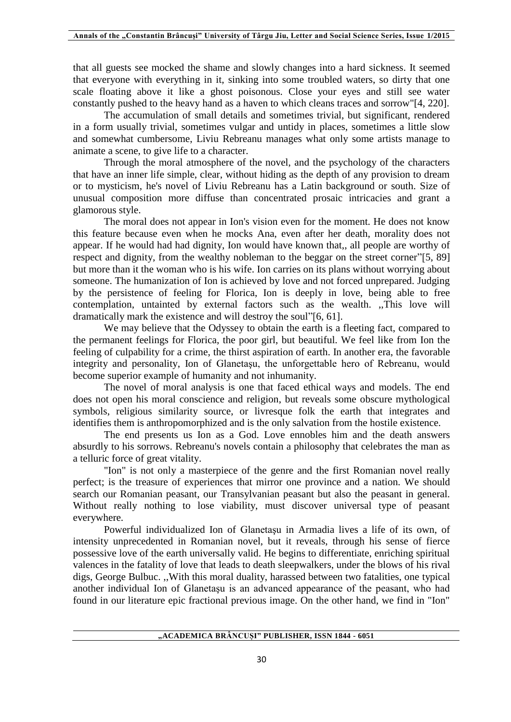that all guests see mocked the shame and slowly changes into a hard sickness. It seemed that everyone with everything in it, sinking into some troubled waters, so dirty that one scale floating above it like a ghost poisonous. Close your eyes and still see water constantly pushed to the heavy hand as a haven to which cleans traces and sorrow"[4, 220].

The accumulation of small details and sometimes trivial, but significant, rendered in a form usually trivial, sometimes vulgar and untidy in places, sometimes a little slow and somewhat cumbersome, Liviu Rebreanu manages what only some artists manage to animate a scene, to give life to a character.

Through the moral atmosphere of the novel, and the psychology of the characters that have an inner life simple, clear, without hiding as the depth of any provision to dream or to mysticism, he's novel of Liviu Rebreanu has a Latin background or south. Size of unusual composition more diffuse than concentrated prosaic intricacies and grant a glamorous style.

The moral does not appear in Ion's vision even for the moment. He does not know this feature because even when he mocks Ana, even after her death, morality does not appear. If he would had had dignity, Ion would have known that,, all people are worthy of respect and dignity, from the wealthy nobleman to the beggar on the street corner"[5, 89] but more than it the woman who is his wife. Ion carries on its plans without worrying about someone. The humanization of Ion is achieved by love and not forced unprepared. Judging by the persistence of feeling for Florica, Ion is deeply in love, being able to free contemplation, untainted by external factors such as the wealth. ,,This love will dramatically mark the existence and will destroy the soul"[6, 61].

We may believe that the Odyssey to obtain the earth is a fleeting fact, compared to the permanent feelings for Florica, the poor girl, but beautiful. We feel like from Ion the feeling of culpability for a crime, the thirst aspiration of earth. In another era, the favorable integrity and personality, Ion of Glanetaşu, the unforgettable hero of Rebreanu, would become superior example of humanity and not inhumanity.

The novel of moral analysis is one that faced ethical ways and models. The end does not open his moral conscience and religion, but reveals some obscure mythological symbols, religious similarity source, or livresque folk the earth that integrates and identifies them is anthropomorphized and is the only salvation from the hostile existence.

The end presents us Ion as a God. Love ennobles him and the death answers absurdly to his sorrows. Rebreanu's novels contain a philosophy that celebrates the man as a telluric force of great vitality.

"Ion" is not only a masterpiece of the genre and the first Romanian novel really perfect; is the treasure of experiences that mirror one province and a nation. We should search our Romanian peasant, our Transylvanian peasant but also the peasant in general. Without really nothing to lose viability, must discover universal type of peasant everywhere.

Powerful individualized Ion of Glanetaşu in Armadia lives a life of its own, of intensity unprecedented in Romanian novel, but it reveals, through his sense of fierce possessive love of the earth universally valid. He begins to differentiate, enriching spiritual valences in the fatality of love that leads to death sleepwalkers, under the blows of his rival digs, George Bulbuc. ,,With this moral duality, harassed between two fatalities, one typical another individual Ion of Glanetaşu is an advanced appearance of the peasant, who had found in our literature epic fractional previous image. On the other hand, we find in "Ion"